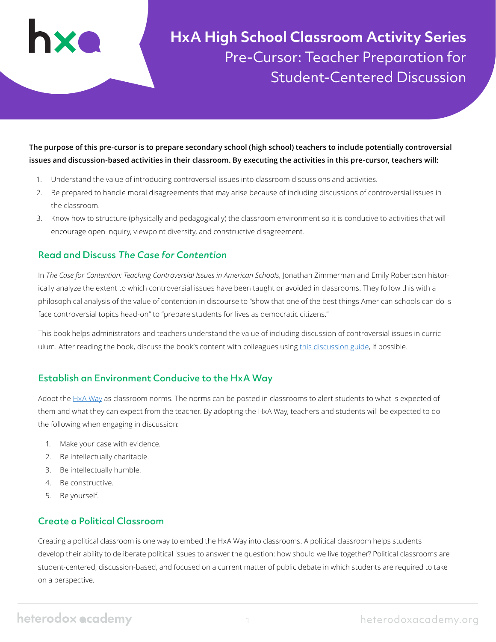

**HxA High School Classroom Activity Series** Pre-Cursor: Teacher Preparation for Student-Centered Discussion

**The purpose of this pre-cursor is to prepare secondary school (high school) teachers to include potentially controversial issues and discussion-based activities in their classroom. By executing the activities in this pre-cursor, teachers will:**

- 1. Understand the value of introducing controversial issues into classroom discussions and activities.
- 2. Be prepared to handle moral disagreements that may arise because of including discussions of controversial issues in the classroom.
- 3. Know how to structure (physically and pedagogically) the classroom environment so it is conducive to activities that will encourage open inquiry, viewpoint diversity, and constructive disagreement.

### Read and Discuss The Case for Contention

In *The Case for Contention: Teaching Controversial Issues in American Schools*, Jonathan Zimmerman and Emily Robertson historically analyze the extent to which controversial issues have been taught or avoided in classrooms. They follow this with a philosophical analysis of the value of contention in discourse to "show that one of the best things American schools can do is face controversial topics head-on" to "prepare students for lives as democratic citizens."

This book helps administrators and teachers understand the value of including discussion of controversial issues in curriculum. After reading the book, discuss the book's content with colleagues using [this discussion guide](https://heterodoxacademy.org/library/discussion-guide-the-case-for-contention-teaching-controversial-issues-in-american-schools/), if possible.

### Establish an Environment Conducive to the HxA Way

Adopt the [HxA Way](https://heterodoxacademy.org/library/the-hxa-way/) as classroom norms. The norms can be posted in classrooms to alert students to what is expected of them and what they can expect from the teacher. By adopting the HxA Way, teachers and students will be expected to do the following when engaging in discussion:

- 1. Make your case with evidence.
- 2. Be intellectually charitable.
- 3. Be intellectually humble.
- 4. Be constructive.
- 5. Be yourself.

## Create a Political Classroom

Creating a political classroom is one way to embed the HxA Way into classrooms. A political classroom helps students develop their ability to deliberate political issues to answer the question: how should we live together? Political classrooms are student-centered, discussion-based, and focused on a current matter of public debate in which students are required to take on a perspective.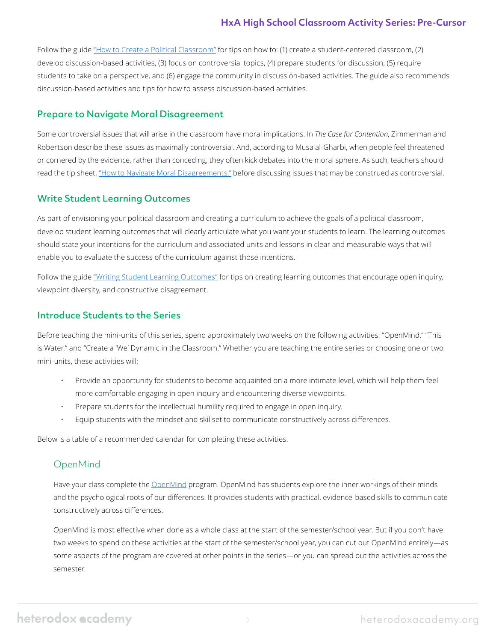## **HxA High School Classroom Activity Series: Pre-Cursor**

Follow the guide ["How to Create a Political Classroom"](https://heterodoxacademy.org/library/how-to-create-a-political-classroom/) for tips on how to: (1) create a student-centered classroom, (2) develop discussion-based activities, (3) focus on controversial topics, (4) prepare students for discussion, (5) require students to take on a perspective, and (6) engage the community in discussion-based activities. The guide also recommends discussion-based activities and tips for how to assess discussion-based activities.

#### Prepare to Navigate Moral Disagreement

Some controversial issues that will arise in the classroom have moral implications. In *The Case for Contention*, Zimmerman and Robertson describe these issues as maximally controversial. And, according to Musa al-Gharbi, when people feel threatened or cornered by the evidence, rather than conceding, they often kick debates into the moral sphere. As such, teachers should read the tip sheet, ["How to Navigate Moral Disagreements,"](https://heterodoxacademy.org/library/how-to-navigate-moral-disagreements-2/) before discussing issues that may be construed as controversial.

### Write Student Learning Outcomes

As part of envisioning your political classroom and creating a curriculum to achieve the goals of a political classroom, develop student learning outcomes that will clearly articulate what you want your students to learn. The learning outcomes should state your intentions for the curriculum and associated units and lessons in clear and measurable ways that will enable you to evaluate the success of the curriculum against those intentions.

Follow the guide ["Writing Student Learning Outcomes"](https://heterodoxacademy.org/library/writing-student-learning-outcomes/) for tips on creating learning outcomes that encourage open inquiry, viewpoint diversity, and constructive disagreement.

#### Introduce Students to the Series

Before teaching the mini-units of this series, spend approximately two weeks on the following activities: "OpenMind," "This is Water," and "Create a 'We' Dynamic in the Classroom." Whether you are teaching the entire series or choosing one or two mini-units, these activities will:

- Provide an opportunity for students to become acquainted on a more intimate level, which will help them feel more comfortable engaging in open inquiry and encountering diverse viewpoints.
- Prepare students for the intellectual humility required to engage in open inquiry.
- Equip students with the mindset and skillset to communicate constructively across differences.

Below is a table of a recommended calendar for completing these activities.

### OpenMind

Have your class complete the [OpenMind](https://openmindplatform.org/academic/) program. OpenMind has students explore the inner workings of their minds and the psychological roots of our differences. It provides students with practical, evidence-based skills to communicate constructively across differences.

OpenMind is most effective when done as a whole class at the start of the semester/school year. But if you don't have two weeks to spend on these activities at the start of the semester/school year, you can cut out OpenMind entirely—as some aspects of the program are covered at other points in the series—or you can spread out the activities across the semester.